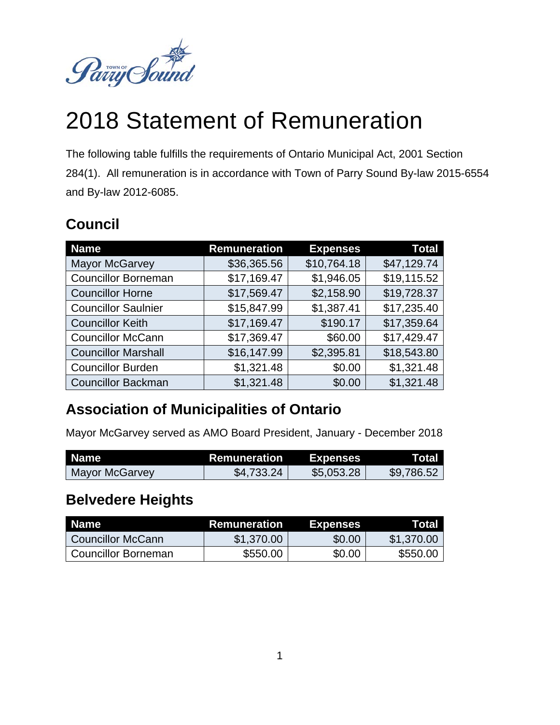

# 2018 Statement of Remuneration

The following table fulfills the requirements of Ontario Municipal Act, 2001 Section 284(1). All remuneration is in accordance with Town of Parry Sound By-law 2015-6554 and By-law 2012-6085.

# **Council**

| <b>Name</b>                | <b>Remuneration</b> | <b>Expenses</b> | <b>Total</b> |
|----------------------------|---------------------|-----------------|--------------|
| <b>Mayor McGarvey</b>      | \$36,365.56         | \$10,764.18     | \$47,129.74  |
| <b>Councillor Borneman</b> | \$17,169.47         | \$1,946.05      | \$19,115.52  |
| <b>Councillor Horne</b>    | \$17,569.47         | \$2,158.90      | \$19,728.37  |
| <b>Councillor Saulnier</b> | \$15,847.99         | \$1,387.41      | \$17,235.40  |
| <b>Councillor Keith</b>    | \$17,169.47         | \$190.17        | \$17,359.64  |
| <b>Councillor McCann</b>   | \$17,369.47         | \$60.00         | \$17,429.47  |
| <b>Councillor Marshall</b> | \$16,147.99         | \$2,395.81      | \$18,543.80  |
| <b>Councillor Burden</b>   | \$1,321.48          | \$0.00          | \$1,321.48   |
| <b>Councillor Backman</b>  | \$1,321.48          | \$0.00          | \$1,321.48   |

## **Association of Municipalities of Ontario**

Mayor McGarvey served as AMO Board President, January - December 2018

| <b>Name</b>    | Remuneration | <b>Expenses</b> | Total      |
|----------------|--------------|-----------------|------------|
| Mayor McGarvey | \$4,733.24   | \$5,053.28      | \$9,786.52 |

#### **Belvedere Heights**

| Name                  | <b>Remuneration</b> | <b>Expenses</b> | Total      |
|-----------------------|---------------------|-----------------|------------|
| Councillor McCann     | \$1,370.00          | \$0.00          | \$1,370.00 |
| l Councillor Borneman | \$550.00            | \$0.00          | \$550.00   |